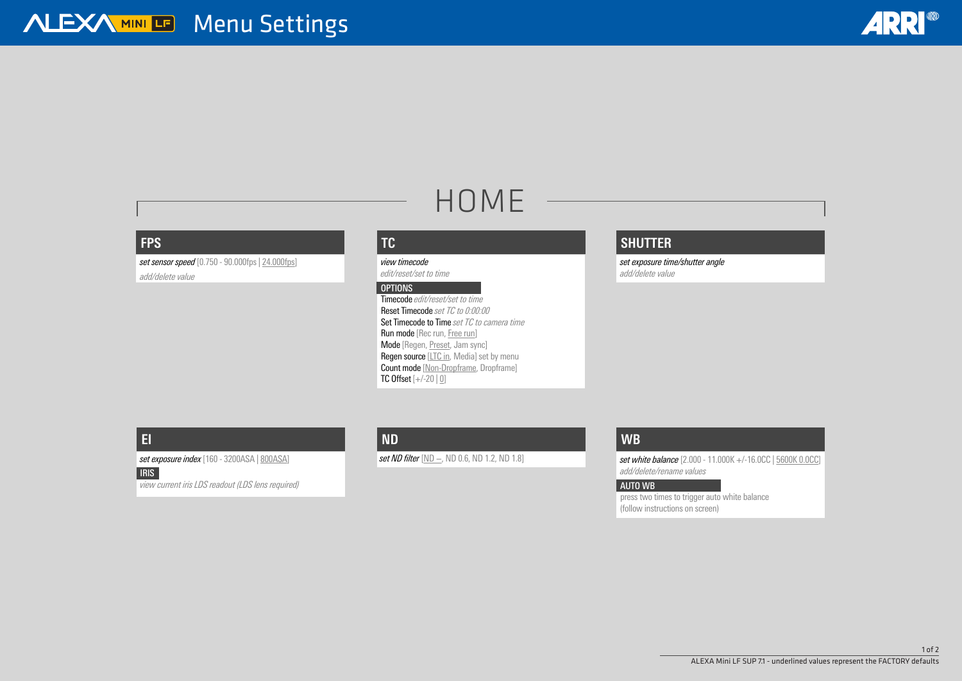# HOME

#### **FPS**

*set sensor speed* [0.750 - 90.000fps | 24.000fps] *add/delete value*

> Timecode *edit/reset/set to time* Reset Timecode *set TC to 0:00:00* Set Timecode to Time *set TC to camera time* Run mode [Rec run, Free run] Mode [Regen, Preset, Jam sync] **Regen source [LTC in, Media] set by menu** Count mode [Non-Dropframe, Dropframe] TC Offset  $[+/20 \mid 0]$

#### **TC**

*view timecode edit/reset/set to time*

#### *OPTIONS*

### **SHUTTER**

*set exposure time/shutter angle add/delete value*

## **EI**

*set exposure index* [160 - 3200ASA | 800ASA]

#### *IRIS view current iris LDS readout (LDS lens required)*

#### **WB**

*set white balance* [2.000 - 11.000K +/-16.0CC | 5600K 0.0CC] *add/delete/rename values*

#### *AUTO WB*

press two times to trigger auto white balance (follow instructions on screen)





#### **ND**

*set ND filter* [ND −, ND 0.6, ND 1.2, ND 1.8]